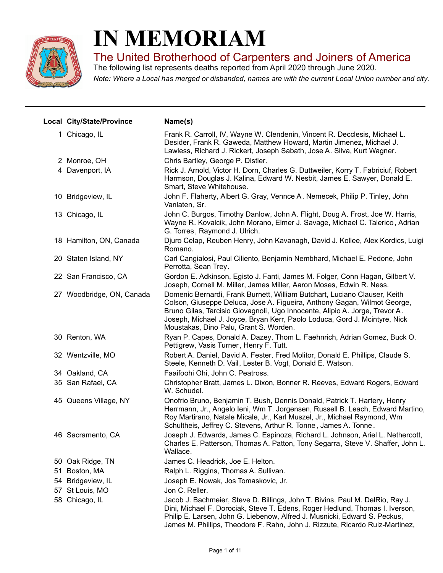

## **IN MEMORIAM**

The United Brotherhood of Carpenters and Joiners of America

*Note: Where a Local has merged or disbanded, names are with the current Local Union number and city.* The following list represents deaths reported from April 2020 through June 2020.

|    | Local City/State/Province | Name(s)                                                                                                                                                                                                                                                                                                                                                      |
|----|---------------------------|--------------------------------------------------------------------------------------------------------------------------------------------------------------------------------------------------------------------------------------------------------------------------------------------------------------------------------------------------------------|
|    | 1 Chicago, IL             | Frank R. Carroll, IV, Wayne W. Clendenin, Vincent R. Decclesis, Michael L.<br>Desider, Frank R. Gaweda, Matthew Howard, Martin Jimenez, Michael J.<br>Lawless, Richard J. Rickert, Joseph Sabath, Jose A. Silva, Kurt Wagner.                                                                                                                                |
|    | 2 Monroe, OH              | Chris Bartley, George P. Distler.                                                                                                                                                                                                                                                                                                                            |
|    | 4 Davenport, IA           | Rick J. Arnold, Victor H. Dorn, Charles G. Duttweiler, Korry T. Fabriciuf, Robert<br>Harmson, Douglas J. Kalina, Edward W. Nesbit, James E. Sawyer, Donald E.<br>Smart, Steve Whitehouse.                                                                                                                                                                    |
|    | 10 Bridgeview, IL         | John F. Flaherty, Albert G. Gray, Vennce A. Nemecek, Philip P. Tinley, John<br>Vanlaten, Sr.                                                                                                                                                                                                                                                                 |
|    | 13 Chicago, IL            | John C. Burgos, Timothy Danlow, John A. Flight, Doug A. Frost, Joe W. Harris,<br>Wayne R. Kovalcik, John Morano, Elmer J. Savage, Michael C. Talerico, Adrian<br>G. Torres, Raymond J. Ulrich.                                                                                                                                                               |
|    | 18 Hamilton, ON, Canada   | Djuro Celap, Reuben Henry, John Kavanagh, David J. Kollee, Alex Kordics, Luigi<br>Romano.                                                                                                                                                                                                                                                                    |
|    | 20 Staten Island, NY      | Carl Cangialosi, Paul Ciliento, Benjamin Nembhard, Michael E. Pedone, John<br>Perrotta, Sean Trey.                                                                                                                                                                                                                                                           |
|    | 22 San Francisco, CA      | Gordon E. Adkinson, Egisto J. Fanti, James M. Folger, Conn Hagan, Gilbert V.<br>Joseph, Cornell M. Miller, James Miller, Aaron Moses, Edwin R. Ness.                                                                                                                                                                                                         |
|    | 27 Woodbridge, ON, Canada | Domenic Bernardi, Frank Burnett, William Butchart, Luciano Clauser, Keith<br>Colson, Giuseppe Deluca, Jose A. Figueira, Anthony Gagan, Wilmot George,<br>Bruno Gilas, Tarcisio Giovagnoli, Ugo Innocente, Alipio A. Jorge, Trevor A.<br>Joseph, Michael J. Joyce, Bryan Kerr, Paolo Loduca, Gord J. Mcintyre, Nick<br>Moustakas, Dino Palu, Grant S. Worden. |
|    | 30 Renton, WA             | Ryan P. Capes, Donald A. Dazey, Thom L. Faehnrich, Adrian Gomez, Buck O.<br>Pettigrew, Vasis Turner, Henry F. Tutt.                                                                                                                                                                                                                                          |
|    | 32 Wentzville, MO         | Robert A. Daniel, David A. Fester, Fred Molitor, Donald E. Phillips, Claude S.<br>Steele, Kenneth D. Vail, Lester B. Vogt, Donald E. Watson.                                                                                                                                                                                                                 |
|    | 34 Oakland, CA            | Faaifoohi Ohi, John C. Peatross.                                                                                                                                                                                                                                                                                                                             |
|    | 35 San Rafael, CA         | Christopher Bratt, James L. Dixon, Bonner R. Reeves, Edward Rogers, Edward<br>W. Schudel.                                                                                                                                                                                                                                                                    |
|    | 45 Queens Village, NY     | Onofrio Bruno, Benjamin T. Bush, Dennis Donald, Patrick T. Hartery, Henry<br>Herrmann, Jr., Angelo Ieni, Wm T. Jorgensen, Russell B. Leach, Edward Martino,<br>Roy Martirano, Natale Micale, Jr., Karl Muszel, Jr., Michael Raymond, Wm<br>Schultheis, Jeffrey C. Stevens, Arthur R. Tonne, James A. Tonne.                                                  |
|    | 46 Sacramento, CA         | Joseph J. Edwards, James C. Espinoza, Richard L. Johnson, Ariel L. Nethercott,<br>Charles E. Patterson, Thomas A. Patton, Tony Segarra, Steve V. Shaffer, John L.<br>Wallace.                                                                                                                                                                                |
|    | 50 Oak Ridge, TN          | James C. Headrick, Joe E. Helton.                                                                                                                                                                                                                                                                                                                            |
| 51 | Boston, MA                | Ralph L. Riggins, Thomas A. Sullivan.                                                                                                                                                                                                                                                                                                                        |
|    | 54 Bridgeview, IL         | Joseph E. Nowak, Jos Tomaskovic, Jr.                                                                                                                                                                                                                                                                                                                         |
|    | 57 St Louis, MO           | Jon C. Reller.                                                                                                                                                                                                                                                                                                                                               |
|    | 58 Chicago, IL            | Jacob J. Bachmeier, Steve D. Billings, John T. Bivins, Paul M. DelRio, Ray J.<br>Dini, Michael F. Dorociak, Steve T. Edens, Roger Hedlund, Thomas I. Iverson,<br>Philip E. Larsen, John G. Liebenow, Alfred J. Musnicki, Edward S. Peckus,<br>James M. Phillips, Theodore F. Rahn, John J. Rizzute, Ricardo Ruiz-Martinez,                                   |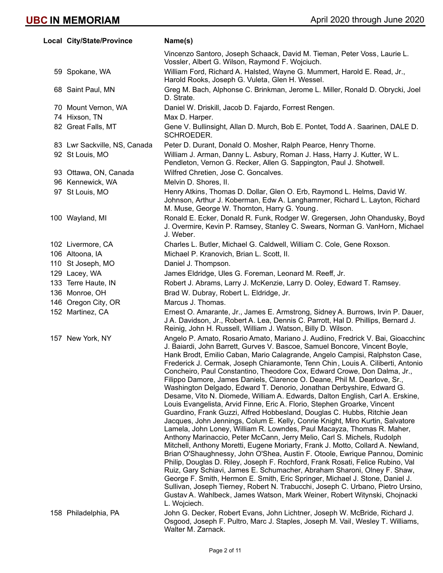| Local City/State/Province    | Name(s)                                                                                                                                                                                                                                                                                                                                                                                                                                                                                                                                                                                                                                                                                                                                                                                                                                                                                                                                                                                                                                                                                                                                                                                                                                                                                                                                                                                                                                                                                                                                                                                                                                         |
|------------------------------|-------------------------------------------------------------------------------------------------------------------------------------------------------------------------------------------------------------------------------------------------------------------------------------------------------------------------------------------------------------------------------------------------------------------------------------------------------------------------------------------------------------------------------------------------------------------------------------------------------------------------------------------------------------------------------------------------------------------------------------------------------------------------------------------------------------------------------------------------------------------------------------------------------------------------------------------------------------------------------------------------------------------------------------------------------------------------------------------------------------------------------------------------------------------------------------------------------------------------------------------------------------------------------------------------------------------------------------------------------------------------------------------------------------------------------------------------------------------------------------------------------------------------------------------------------------------------------------------------------------------------------------------------|
|                              | Vincenzo Santoro, Joseph Schaack, David M. Tieman, Peter Voss, Laurie L.<br>Vossler, Albert G. Wilson, Raymond F. Wojciuch.                                                                                                                                                                                                                                                                                                                                                                                                                                                                                                                                                                                                                                                                                                                                                                                                                                                                                                                                                                                                                                                                                                                                                                                                                                                                                                                                                                                                                                                                                                                     |
| 59 Spokane, WA               | William Ford, Richard A. Halsted, Wayne G. Mummert, Harold E. Read, Jr.,<br>Harold Rooks, Joseph G. Vuleta, Glen H. Wessel.                                                                                                                                                                                                                                                                                                                                                                                                                                                                                                                                                                                                                                                                                                                                                                                                                                                                                                                                                                                                                                                                                                                                                                                                                                                                                                                                                                                                                                                                                                                     |
| 68 Saint Paul, MN            | Greg M. Bach, Alphonse C. Brinkman, Jerome L. Miller, Ronald D. Obrycki, Joel<br>D. Strate.                                                                                                                                                                                                                                                                                                                                                                                                                                                                                                                                                                                                                                                                                                                                                                                                                                                                                                                                                                                                                                                                                                                                                                                                                                                                                                                                                                                                                                                                                                                                                     |
| 70 Mount Vernon, WA          | Daniel W. Driskill, Jacob D. Fajardo, Forrest Rengen.                                                                                                                                                                                                                                                                                                                                                                                                                                                                                                                                                                                                                                                                                                                                                                                                                                                                                                                                                                                                                                                                                                                                                                                                                                                                                                                                                                                                                                                                                                                                                                                           |
| 74 Hixson, TN                | Max D. Harper.                                                                                                                                                                                                                                                                                                                                                                                                                                                                                                                                                                                                                                                                                                                                                                                                                                                                                                                                                                                                                                                                                                                                                                                                                                                                                                                                                                                                                                                                                                                                                                                                                                  |
| 82 Great Falls, MT           | Gene V. Bullinsight, Allan D. Murch, Bob E. Pontet, Todd A. Saarinen, DALE D.<br>SCHROEDER.                                                                                                                                                                                                                                                                                                                                                                                                                                                                                                                                                                                                                                                                                                                                                                                                                                                                                                                                                                                                                                                                                                                                                                                                                                                                                                                                                                                                                                                                                                                                                     |
| 83 Lwr Sackville, NS, Canada | Peter D. Durant, Donald O. Mosher, Ralph Pearce, Henry Thorne.                                                                                                                                                                                                                                                                                                                                                                                                                                                                                                                                                                                                                                                                                                                                                                                                                                                                                                                                                                                                                                                                                                                                                                                                                                                                                                                                                                                                                                                                                                                                                                                  |
| 92 St Louis, MO              | William J. Arman, Danny L. Asbury, Roman J. Hass, Harry J. Kutter, W L.<br>Pendleton, Vernon G. Recker, Allen G. Sappington, Paul J. Shotwell.                                                                                                                                                                                                                                                                                                                                                                                                                                                                                                                                                                                                                                                                                                                                                                                                                                                                                                                                                                                                                                                                                                                                                                                                                                                                                                                                                                                                                                                                                                  |
| 93 Ottawa, ON, Canada        | Wilfred Chretien, Jose C. Goncalves.                                                                                                                                                                                                                                                                                                                                                                                                                                                                                                                                                                                                                                                                                                                                                                                                                                                                                                                                                                                                                                                                                                                                                                                                                                                                                                                                                                                                                                                                                                                                                                                                            |
| 96 Kennewick, WA             | Melvin D. Shores, II.                                                                                                                                                                                                                                                                                                                                                                                                                                                                                                                                                                                                                                                                                                                                                                                                                                                                                                                                                                                                                                                                                                                                                                                                                                                                                                                                                                                                                                                                                                                                                                                                                           |
| 97 St Louis, MO              | Henry Atkins, Thomas D. Dollar, Glen O. Erb, Raymond L. Helms, David W.<br>Johnson, Arthur J. Koberman, Edw A. Langhammer, Richard L. Layton, Richard<br>M. Muse, George W. Thornton, Harry G. Young.                                                                                                                                                                                                                                                                                                                                                                                                                                                                                                                                                                                                                                                                                                                                                                                                                                                                                                                                                                                                                                                                                                                                                                                                                                                                                                                                                                                                                                           |
| 100 Wayland, MI              | Ronald E. Ecker, Donald R. Funk, Rodger W. Gregersen, John Ohandusky, Boyd<br>J. Overmire, Kevin P. Ramsey, Stanley C. Swears, Norman G. VanHorn, Michael<br>J. Weber.                                                                                                                                                                                                                                                                                                                                                                                                                                                                                                                                                                                                                                                                                                                                                                                                                                                                                                                                                                                                                                                                                                                                                                                                                                                                                                                                                                                                                                                                          |
| 102 Livermore, CA            | Charles L. Butler, Michael G. Caldwell, William C. Cole, Gene Roxson.                                                                                                                                                                                                                                                                                                                                                                                                                                                                                                                                                                                                                                                                                                                                                                                                                                                                                                                                                                                                                                                                                                                                                                                                                                                                                                                                                                                                                                                                                                                                                                           |
| 106 Altoona, IA              | Michael P. Kranovich, Brian L. Scott, II.                                                                                                                                                                                                                                                                                                                                                                                                                                                                                                                                                                                                                                                                                                                                                                                                                                                                                                                                                                                                                                                                                                                                                                                                                                                                                                                                                                                                                                                                                                                                                                                                       |
| 110 St Joseph, MO            | Daniel J. Thompson.                                                                                                                                                                                                                                                                                                                                                                                                                                                                                                                                                                                                                                                                                                                                                                                                                                                                                                                                                                                                                                                                                                                                                                                                                                                                                                                                                                                                                                                                                                                                                                                                                             |
| 129 Lacey, WA                | James Eldridge, Ules G. Foreman, Leonard M. Reeff, Jr.                                                                                                                                                                                                                                                                                                                                                                                                                                                                                                                                                                                                                                                                                                                                                                                                                                                                                                                                                                                                                                                                                                                                                                                                                                                                                                                                                                                                                                                                                                                                                                                          |
| 133 Terre Haute, IN          | Robert J. Abrams, Larry J. McKenzie, Larry D. Ooley, Edward T. Ramsey.                                                                                                                                                                                                                                                                                                                                                                                                                                                                                                                                                                                                                                                                                                                                                                                                                                                                                                                                                                                                                                                                                                                                                                                                                                                                                                                                                                                                                                                                                                                                                                          |
| 136 Monroe, OH               | Brad W. Dubray, Robert L. Eldridge, Jr.                                                                                                                                                                                                                                                                                                                                                                                                                                                                                                                                                                                                                                                                                                                                                                                                                                                                                                                                                                                                                                                                                                                                                                                                                                                                                                                                                                                                                                                                                                                                                                                                         |
| 146 Oregon City, OR          | Marcus J. Thomas.                                                                                                                                                                                                                                                                                                                                                                                                                                                                                                                                                                                                                                                                                                                                                                                                                                                                                                                                                                                                                                                                                                                                                                                                                                                                                                                                                                                                                                                                                                                                                                                                                               |
| 152 Martinez, CA             | Ernest O. Amarante, Jr., James E. Armstrong, Sidney A. Burrows, Irvin P. Dauer,<br>J A. Davidson, Jr., Robert A. Lea, Dennis C. Parrott, Hal D. Phillips, Bernard J.<br>Reinig, John H. Russell, William J. Watson, Billy D. Wilson.                                                                                                                                                                                                                                                                                                                                                                                                                                                                                                                                                                                                                                                                                                                                                                                                                                                                                                                                                                                                                                                                                                                                                                                                                                                                                                                                                                                                            |
| 157 New York, NY             | Angelo P. Amato, Rosario Amato, Mariano J. Audiino, Fredrick V. Bai, Gioacchinc<br>J. Baiardi, John Barrett, Gurves V. Bascoe, Samuel Boncore, Vincent Boyle,<br>Hank Brodt, Emilio Caban, Mario Calagrande, Angelo Campisi, Ralphston Case,<br>Frederick J. Cermak, Joseph Chiaramonte, Tenn Chin, Louis A. Ciliberti, Antonio<br>Concheiro, Paul Constantino, Theodore Cox, Edward Crowe, Don Dalma, Jr.,<br>Filippo Damore, James Daniels, Clarence O. Deane, Phil M. Dearlove, Sr.,<br>Washington Delgado, Edward T. Denorio, Jonathan Derbyshire, Edward G.<br>Desame, Vito N. Diomede, William A. Edwards, Dalton English, Carl A. Erskine,<br>Louis Evangelista, Arvid Finne, Eric A. Florio, Stephen Groarke, Vincent<br>Guardino, Frank Guzzi, Alfred Hobbesland, Douglas C. Hubbs, Ritchie Jean<br>Jacques, John Jennings, Colum E. Kelly, Conrie Knight, Miro Kurtin, Salvatore<br>Lamela, John Loney, William R. Lowndes, Paul Macayza, Thomas R. Maher,<br>Anthony Marinaccio, Peter McCann, Jerry Melio, Carl S. Michels, Rudolph<br>Mitchell, Anthony Moretti, Eugene Moriarty, Frank J. Motto, Collard A. Newland,<br>Brian O'Shaughnessy, John O'Shea, Austin F. Otoole, Ewrique Pannou, Dominic<br>Philip, Douglas D. Riley, Joseph F. Rochford, Frank Rosati, Felice Rubino, Val<br>Ruiz, Gary Schiavi, James E. Schumacher, Abraham Sharoni, Olney F. Shaw,<br>George F. Smith, Hermon E. Smith, Eric Springer, Michael J. Stone, Daniel J.<br>Sullivan, Joseph Tierney, Robert N. Trabucchi, Joseph C. Urbano, Pietro Ursino,<br>Gustav A. Wahlbeck, James Watson, Mark Weiner, Robert Witynski, Chojnacki<br>L. Wojciech. |
| 158 Philadelphia, PA         | John G. Decker, Robert Evans, John Lichtner, Joseph W. McBride, Richard J.<br>Osgood, Joseph F. Pultro, Marc J. Staples, Joseph M. Vail, Wesley T. Williams,<br>Walter M. Zarnack.                                                                                                                                                                                                                                                                                                                                                                                                                                                                                                                                                                                                                                                                                                                                                                                                                                                                                                                                                                                                                                                                                                                                                                                                                                                                                                                                                                                                                                                              |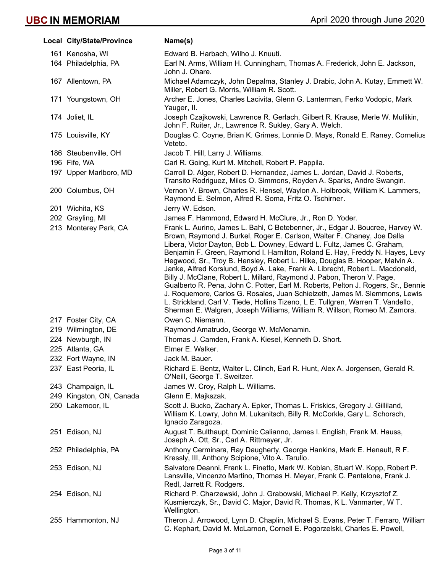| Local City/State/Province | Name(s)                                                                                                                                                                                                                                                                                                                                                                                                                                                                                                                                                                                                                                                                                                                                                                                                                                                                                             |
|---------------------------|-----------------------------------------------------------------------------------------------------------------------------------------------------------------------------------------------------------------------------------------------------------------------------------------------------------------------------------------------------------------------------------------------------------------------------------------------------------------------------------------------------------------------------------------------------------------------------------------------------------------------------------------------------------------------------------------------------------------------------------------------------------------------------------------------------------------------------------------------------------------------------------------------------|
| 161 Kenosha, WI           | Edward B. Harbach, Wilho J. Knuuti.                                                                                                                                                                                                                                                                                                                                                                                                                                                                                                                                                                                                                                                                                                                                                                                                                                                                 |
| 164 Philadelphia, PA      | Earl N. Arms, William H. Cunningham, Thomas A. Frederick, John E. Jackson,<br>John J. Ohare.                                                                                                                                                                                                                                                                                                                                                                                                                                                                                                                                                                                                                                                                                                                                                                                                        |
| 167 Allentown, PA         | Michael Adamczyk, John Depalma, Stanley J. Drabic, John A. Kutay, Emmett W.<br>Miller, Robert G. Morris, William R. Scott.                                                                                                                                                                                                                                                                                                                                                                                                                                                                                                                                                                                                                                                                                                                                                                          |
| 171 Youngstown, OH        | Archer E. Jones, Charles Lacivita, Glenn G. Lanterman, Ferko Vodopic, Mark<br>Yauger, II.                                                                                                                                                                                                                                                                                                                                                                                                                                                                                                                                                                                                                                                                                                                                                                                                           |
| 174 Joliet, IL            | Joseph Czajkowski, Lawrence R. Gerlach, Gilbert R. Krause, Merle W. Mullikin,<br>John F. Ruiter, Jr., Lawrence R. Sukley, Gary A. Welch.                                                                                                                                                                                                                                                                                                                                                                                                                                                                                                                                                                                                                                                                                                                                                            |
| 175 Louisville, KY        | Douglas C. Coyne, Brian K. Grimes, Lonnie D. Mays, Ronald E. Raney, Cornelius<br>Veteto.                                                                                                                                                                                                                                                                                                                                                                                                                                                                                                                                                                                                                                                                                                                                                                                                            |
| 186 Steubenville, OH      | Jacob T. Hill, Larry J. Williams.                                                                                                                                                                                                                                                                                                                                                                                                                                                                                                                                                                                                                                                                                                                                                                                                                                                                   |
| 196 Fife, WA              | Carl R. Going, Kurt M. Mitchell, Robert P. Pappila.                                                                                                                                                                                                                                                                                                                                                                                                                                                                                                                                                                                                                                                                                                                                                                                                                                                 |
| 197 Upper Marlboro, MD    | Carroll D. Alger, Robert D. Hernandez, James L. Jordan, David J. Roberts,<br>Transito Rodriguez, Miles O. Simmons, Royden A. Sparks, Andre Swangin.                                                                                                                                                                                                                                                                                                                                                                                                                                                                                                                                                                                                                                                                                                                                                 |
| 200 Columbus, OH          | Vernon V. Brown, Charles R. Hensel, Waylon A. Holbrook, William K. Lammers,<br>Raymond E. Selmon, Alfred R. Soma, Fritz O. Tschirner.                                                                                                                                                                                                                                                                                                                                                                                                                                                                                                                                                                                                                                                                                                                                                               |
| 201 Wichita, KS           | Jerry W. Edson.                                                                                                                                                                                                                                                                                                                                                                                                                                                                                                                                                                                                                                                                                                                                                                                                                                                                                     |
| 202 Grayling, MI          | James F. Hammond, Edward H. McClure, Jr., Ron D. Yoder.                                                                                                                                                                                                                                                                                                                                                                                                                                                                                                                                                                                                                                                                                                                                                                                                                                             |
| 213 Monterey Park, CA     | Frank L. Aurino, James L. Bahl, C Betebenner, Jr., Edgar J. Boucree, Harvey W.<br>Brown, Raymond J. Burkel, Roger E. Carlson, Walter F. Chaney, Joe Dalla<br>Libera, Victor Dayton, Bob L. Downey, Edward L. Fultz, James C. Graham,<br>Benjamin F. Green, Raymond I. Hamilton, Roland E. Hay, Freddy N. Hayes, Levy<br>Hegwood, Sr., Troy B. Hensley, Robert L. Hilke, Douglas B. Hooper, Malvin A.<br>Janke, Alfred Korslund, Boyd A. Lake, Frank A. Librecht, Robert L. Macdonald,<br>Billy J. McClane, Robert L. Millard, Raymond J. Pabon, Theron V. Page,<br>Gualberto R. Pena, John C. Potter, Earl M. Roberts, Pelton J. Rogers, Sr., Bennie<br>J. Roquemore, Carlos G. Rosales, Juan Schielzeth, James M. Slemmons, Lewis<br>L. Strickland, Carl V. Tiede, Hollins Tizeno, L E. Tullgren, Warren T. Vandello,<br>Sherman E. Walgren, Joseph Williams, William R. Willson, Romeo M. Zamora. |
| 217 Foster City, CA       | Owen C. Niemann.                                                                                                                                                                                                                                                                                                                                                                                                                                                                                                                                                                                                                                                                                                                                                                                                                                                                                    |
| 219 Wilmington, DE        | Raymond Amatrudo, George W. McMenamin.                                                                                                                                                                                                                                                                                                                                                                                                                                                                                                                                                                                                                                                                                                                                                                                                                                                              |
| 224 Newburgh, IN          | Thomas J. Camden, Frank A. Kiesel, Kenneth D. Short.                                                                                                                                                                                                                                                                                                                                                                                                                                                                                                                                                                                                                                                                                                                                                                                                                                                |
| 225 Atlanta, GA           | Elmer E. Walker.                                                                                                                                                                                                                                                                                                                                                                                                                                                                                                                                                                                                                                                                                                                                                                                                                                                                                    |
| 232 Fort Wayne, IN        | Jack M. Bauer.                                                                                                                                                                                                                                                                                                                                                                                                                                                                                                                                                                                                                                                                                                                                                                                                                                                                                      |
| 237 East Peoria, IL       | Richard E. Bentz, Walter L. Clinch, Earl R. Hunt, Alex A. Jorgensen, Gerald R.<br>O'Neill, George T. Sweitzer.                                                                                                                                                                                                                                                                                                                                                                                                                                                                                                                                                                                                                                                                                                                                                                                      |
| 243 Champaign, IL         | James W. Croy, Ralph L. Williams.                                                                                                                                                                                                                                                                                                                                                                                                                                                                                                                                                                                                                                                                                                                                                                                                                                                                   |
| 249 Kingston, ON, Canada  | Glenn E. Majkszak.                                                                                                                                                                                                                                                                                                                                                                                                                                                                                                                                                                                                                                                                                                                                                                                                                                                                                  |
| 250 Lakemoor, IL          | Scott J. Bucko, Zachary A. Epker, Thomas L. Friskics, Gregory J. Gilliland,<br>William K. Lowry, John M. Lukanitsch, Billy R. McCorkle, Gary L. Schorsch,<br>Ignacio Zaragoza.                                                                                                                                                                                                                                                                                                                                                                                                                                                                                                                                                                                                                                                                                                                      |
| 251 Edison, NJ            | August T. Bulthaupt, Dominic Calianno, James I. English, Frank M. Hauss,<br>Joseph A. Ott, Sr., Carl A. Rittmeyer, Jr.                                                                                                                                                                                                                                                                                                                                                                                                                                                                                                                                                                                                                                                                                                                                                                              |
| 252 Philadelphia, PA      | Anthony Cerminara, Ray Daugherty, George Hankins, Mark E. Henault, R F.<br>Kressly, III, Anthony Scipione, Vito A. Tarullo.                                                                                                                                                                                                                                                                                                                                                                                                                                                                                                                                                                                                                                                                                                                                                                         |
| 253 Edison, NJ            | Salvatore Deanni, Frank L. Finetto, Mark W. Koblan, Stuart W. Kopp, Robert P.<br>Lansville, Vincenzo Martino, Thomas H. Meyer, Frank C. Pantalone, Frank J.<br>Redl, Jarrett R. Rodgers.                                                                                                                                                                                                                                                                                                                                                                                                                                                                                                                                                                                                                                                                                                            |
| 254 Edison, NJ            | Richard P. Charzewski, John J. Grabowski, Michael P. Kelly, Krzysztof Z.<br>Kusmierczyk, Sr., David C. Major, David R. Thomas, K L. Vanmarter, W T.<br>Wellington.                                                                                                                                                                                                                                                                                                                                                                                                                                                                                                                                                                                                                                                                                                                                  |
| 255 Hammonton, NJ         | Theron J. Arrowood, Lynn D. Chaplin, Michael S. Evans, Peter T. Ferraro, William<br>C. Kephart, David M. McLarnon, Cornell E. Pogorzelski, Charles E. Powell,                                                                                                                                                                                                                                                                                                                                                                                                                                                                                                                                                                                                                                                                                                                                       |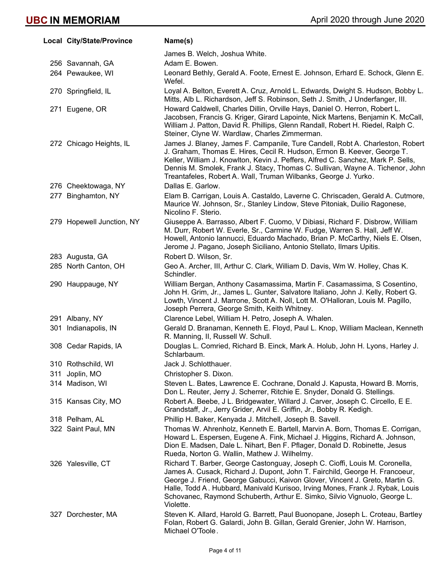| Local City/State/Province | Name(s)                                                                                                                                                                                                                                                                                                                                                                                                               |
|---------------------------|-----------------------------------------------------------------------------------------------------------------------------------------------------------------------------------------------------------------------------------------------------------------------------------------------------------------------------------------------------------------------------------------------------------------------|
|                           | James B. Welch, Joshua White.                                                                                                                                                                                                                                                                                                                                                                                         |
| 256 Savannah, GA          | Adam E. Bowen.                                                                                                                                                                                                                                                                                                                                                                                                        |
| 264 Pewaukee, WI          | Leonard Bethly, Gerald A. Foote, Ernest E. Johnson, Erhard E. Schock, Glenn E.<br>Wefel.                                                                                                                                                                                                                                                                                                                              |
| 270 Springfield, IL       | Loyal A. Belton, Everett A. Cruz, Arnold L. Edwards, Dwight S. Hudson, Bobby L.<br>Mitts, Alb L. Richardson, Jeff S. Robinson, Seth J. Smith, J Underfanger, III.                                                                                                                                                                                                                                                     |
| 271 Eugene, OR            | Howard Caldwell, Charles Dillin, Orville Hays, Daniel O. Herron, Robert L.<br>Jacobsen, Francis G. Kriger, Girard Lapointe, Nick Martens, Benjamin K. McCall,<br>William J. Patton, David R. Phillips, Glenn Randall, Robert H. Riedel, Ralph C.<br>Steiner, Clyne W. Wardlaw, Charles Zimmerman.                                                                                                                     |
| 272 Chicago Heights, IL   | James J. Blaney, James F. Campanile, Ture Candell, Robt A. Charleston, Robert<br>J. Graham, Thomas E. Hires, Cecil R. Hudson, Ermon B. Keever, George T.<br>Keller, William J. Knowlton, Kevin J. Peffers, Alfred C. Sanchez, Mark P. Sells,<br>Dennis M. Smolek, Frank J. Stacy, Thomas C. Sullivan, Wayne A. Tichenor, John<br>Treantafeles, Robert A. Wall, Truman Wilbanks, George J. Yurko.                      |
| 276 Cheektowaga, NY       | Dallas E. Garlow.                                                                                                                                                                                                                                                                                                                                                                                                     |
| 277 Binghamton, NY        | Elam B. Carrigan, Louis A. Castaldo, Laverne C. Chriscaden, Gerald A. Cutmore,<br>Maurice W. Johnson, Sr., Stanley Lindow, Steve Pitoniak, Duilio Ragonese,<br>Nicolino F. Sterio.                                                                                                                                                                                                                                    |
| 279 Hopewell Junction, NY | Giuseppe A. Barrasso, Albert F. Cuomo, V Dibiasi, Richard F. Disbrow, William<br>M. Durr, Robert W. Everle, Sr., Carmine W. Fudge, Warren S. Hall, Jeff W.<br>Howell, Antonio Iannucci, Eduardo Machado, Brian P. McCarthy, Niels E. Olsen,<br>Jerome J. Pagano, Joseph Siciliano, Antonio Stellato, Ilmars Upitis.                                                                                                   |
| 283 Augusta, GA           | Robert D. Wilson, Sr.                                                                                                                                                                                                                                                                                                                                                                                                 |
| 285 North Canton, OH      | Geo A. Archer, III, Arthur C. Clark, William D. Davis, Wm W. Holley, Chas K.<br>Schindler.                                                                                                                                                                                                                                                                                                                            |
| 290 Hauppauge, NY         | William Bergan, Anthony Casamassima, Martin F. Casamassima, S Cosentino,<br>John H. Grim, Jr., James L. Gunter, Salvatore Italiano, John J. Kelly, Robert G.<br>Lowth, Vincent J. Marrone, Scott A. Noll, Lott M. O'Halloran, Louis M. Pagillo,<br>Joseph Perrera, George Smith, Keith Whitney.                                                                                                                       |
| 291 Albany, NY            | Clarence Lebel, William H. Petro, Joseph A. Whalen.                                                                                                                                                                                                                                                                                                                                                                   |
| 301 Indianapolis, IN      | Gerald D. Branaman, Kenneth E. Floyd, Paul L. Knop, William Maclean, Kenneth<br>R. Manning, II, Russell W. Schull.                                                                                                                                                                                                                                                                                                    |
| 308 Cedar Rapids, IA      | Douglas L. Comried, Richard B. Einck, Mark A. Holub, John H. Lyons, Harley J.<br>Schlarbaum.                                                                                                                                                                                                                                                                                                                          |
| 310 Rothschild, WI        | Jack J. Schlotthauer.                                                                                                                                                                                                                                                                                                                                                                                                 |
| 311 Joplin, MO            | Christopher S. Dixon.                                                                                                                                                                                                                                                                                                                                                                                                 |
| 314 Madison, WI           | Steven L. Bates, Lawrence E. Cochrane, Donald J. Kapusta, Howard B. Morris,<br>Don L. Reuter, Jerry J. Scherrer, Ritchie E. Snyder, Donald G. Stellings.                                                                                                                                                                                                                                                              |
| 315 Kansas City, MO       | Robert A. Beebe, J L. Bridgewater, Willard J. Carver, Joseph C. Circello, E E.<br>Grandstaff, Jr., Jerry Grider, Arvil E. Griffin, Jr., Bobby R. Kedigh.                                                                                                                                                                                                                                                              |
| 318 Pelham, AL            | Phillip H. Baker, Kenyada J. Mitchell, Joseph B. Savell.                                                                                                                                                                                                                                                                                                                                                              |
| 322 Saint Paul, MN        | Thomas W. Ahrenholz, Kenneth E. Bartell, Marvin A. Born, Thomas E. Corrigan,<br>Howard L. Espersen, Eugene A. Fink, Michael J. Higgins, Richard A. Johnson,<br>Dion E. Madsen, Dale L. Nihart, Ben F. Pflager, Donald D. Robinette, Jesus<br>Rueda, Norton G. Wallin, Mathew J. Wilhelmy.                                                                                                                             |
| 326 Yalesville, CT        | Richard T. Barber, George Castonguay, Joseph C. Cioffi, Louis M. Coronella,<br>James A. Cusack, Richard J. Dupont, John T. Fairchild, George H. Francoeur,<br>George J. Friend, George Gabucci, Kaivon Glover, Vincent J. Greto, Martin G.<br>Halle, Todd A. Hubbard, Manivald Kurisoo, Irving Mones, Frank J. Rybak, Louis<br>Schovanec, Raymond Schuberth, Arthur E. Simko, Silvio Vignuolo, George L.<br>Violette. |
| 327 Dorchester, MA        | Steven K. Allard, Harold G. Barrett, Paul Buonopane, Joseph L. Croteau, Bartley<br>Folan, Robert G. Galardi, John B. Gillan, Gerald Grenier, John W. Harrison,<br>Michael O'Toole.                                                                                                                                                                                                                                    |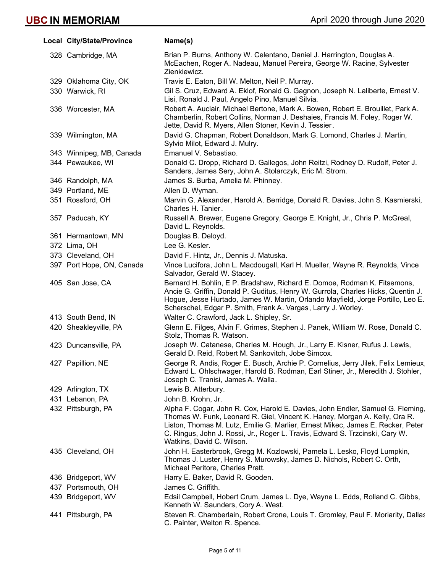| Local City/State/Province | Name(s)                                                                                                                                                                                                                                                                                                                                                      |
|---------------------------|--------------------------------------------------------------------------------------------------------------------------------------------------------------------------------------------------------------------------------------------------------------------------------------------------------------------------------------------------------------|
| 328 Cambridge, MA         | Brian P. Burns, Anthony W. Celentano, Daniel J. Harrington, Douglas A.<br>McEachen, Roger A. Nadeau, Manuel Pereira, George W. Racine, Sylvester<br>Zienkiewicz.                                                                                                                                                                                             |
| 329 Oklahoma City, OK     | Travis E. Eaton, Bill W. Melton, Neil P. Murray.                                                                                                                                                                                                                                                                                                             |
| 330 Warwick, RI           | Gil S. Cruz, Edward A. Eklof, Ronald G. Gagnon, Joseph N. Laliberte, Ernest V.<br>Lisi, Ronald J. Paul, Angelo Pino, Manuel Silvia.                                                                                                                                                                                                                          |
| 336 Worcester, MA         | Robert A. Auclair, Michael Bertone, Mark A. Bowen, Robert E. Brouillet, Park A.<br>Chamberlin, Robert Collins, Norman J. Deshaies, Francis M. Foley, Roger W.<br>Jette, David R. Myers, Allen Stoner, Kevin J. Tessier.                                                                                                                                      |
| 339 Wilmington, MA        | David G. Chapman, Robert Donaldson, Mark G. Lomond, Charles J. Martin,<br>Sylvio Milot, Edward J. Mulry.                                                                                                                                                                                                                                                     |
| 343 Winnipeg, MB, Canada  | Emanuel V. Sebastiao.                                                                                                                                                                                                                                                                                                                                        |
| 344 Pewaukee, WI          | Donald C. Dropp, Richard D. Gallegos, John Reitzi, Rodney D. Rudolf, Peter J.<br>Sanders, James Sery, John A. Stolarczyk, Eric M. Strom.                                                                                                                                                                                                                     |
| 346 Randolph, MA          | James S. Burba, Amelia M. Phinney.                                                                                                                                                                                                                                                                                                                           |
| 349 Portland, ME          | Allen D. Wyman.                                                                                                                                                                                                                                                                                                                                              |
| 351 Rossford, OH          | Marvin G. Alexander, Harold A. Berridge, Donald R. Davies, John S. Kasmierski,<br>Charles H. Tanier.                                                                                                                                                                                                                                                         |
| 357 Paducah, KY           | Russell A. Brewer, Eugene Gregory, George E. Knight, Jr., Chris P. McGreal,<br>David L. Reynolds.                                                                                                                                                                                                                                                            |
| 361 Hermantown, MN        | Douglas B. Deloyd.                                                                                                                                                                                                                                                                                                                                           |
| 372 Lima, OH              | Lee G. Kesler.                                                                                                                                                                                                                                                                                                                                               |
| 373 Cleveland, OH         | David F. Hintz, Jr., Dennis J. Matuska.                                                                                                                                                                                                                                                                                                                      |
| 397 Port Hope, ON, Canada | Vince Lucifora, John L. Macdougall, Karl H. Mueller, Wayne R. Reynolds, Vince<br>Salvador, Gerald W. Stacey.                                                                                                                                                                                                                                                 |
| 405 San Jose, CA          | Bernard H. Bohlin, E P. Bradshaw, Richard E. Domoe, Rodman K. Fitsemons,<br>Ancie G. Griffin, Donald P. Guditus, Henry W. Gurrola, Charles Hicks, Quentin J.<br>Hogue, Jesse Hurtado, James W. Martin, Orlando Mayfield, Jorge Portillo, Leo E.<br>Scherschel, Edgar P. Smith, Frank A. Vargas, Larry J. Worley.                                             |
| 413 South Bend, IN        | Walter C. Crawford, Jack L. Shipley, Sr.                                                                                                                                                                                                                                                                                                                     |
| 420 Sheakleyville, PA     | Glenn E. Filges, Alvin F. Grimes, Stephen J. Panek, William W. Rose, Donald C.<br>Stolz, Thomas R. Watson.                                                                                                                                                                                                                                                   |
| 423 Duncansville, PA      | Joseph W. Catanese, Charles M. Hough, Jr., Larry E. Kisner, Rufus J. Lewis,<br>Gerald D. Reid, Robert M. Sankovitch, Jobe Simcox.                                                                                                                                                                                                                            |
| 427 Papillion, NE         | George R. Andis, Roger E. Busch, Archie P. Cornelius, Jerry Jilek, Felix Lemieux,<br>Edward L. Ohlschwager, Harold B. Rodman, Earl Stiner, Jr., Meredith J. Stohler,<br>Joseph C. Tranisi, James A. Walla.                                                                                                                                                   |
| 429 Arlington, TX         | Lewis B. Atterbury.                                                                                                                                                                                                                                                                                                                                          |
| 431 Lebanon, PA           | John B. Krohn, Jr.                                                                                                                                                                                                                                                                                                                                           |
| 432 Pittsburgh, PA        | Alpha F. Cogar, John R. Cox, Harold E. Davies, John Endler, Samuel G. Fleming,<br>Thomas W. Funk, Leonard R. Giel, Vincent K. Haney, Morgan A. Kelly, Ora R.<br>Liston, Thomas M. Lutz, Emilie G. Marlier, Ernest Mikec, James E. Recker, Peter<br>C. Ringus, John J. Rossi, Jr., Roger L. Travis, Edward S. Trzcinski, Cary W.<br>Watkins, David C. Wilson. |
| 435 Cleveland, OH         | John H. Easterbrook, Gregg M. Kozlowski, Pamela L. Lesko, Floyd Lumpkin,<br>Thomas J. Luster, Henry S. Murowsky, James D. Nichols, Robert C. Orth,<br>Michael Peritore, Charles Pratt.                                                                                                                                                                       |
| 436 Bridgeport, WV        | Harry E. Baker, David R. Gooden.                                                                                                                                                                                                                                                                                                                             |
| 437 Portsmouth, OH        | James C. Griffith.                                                                                                                                                                                                                                                                                                                                           |
| 439 Bridgeport, WV        | Edsil Campbell, Hobert Crum, James L. Dye, Wayne L. Edds, Rolland C. Gibbs,<br>Kenneth W. Saunders, Cory A. West.                                                                                                                                                                                                                                            |
| 441 Pittsburgh, PA        | Steven R. Chamberlain, Robert Crone, Louis T. Gromley, Paul F. Moriarity, Dallas<br>C. Painter, Welton R. Spence.                                                                                                                                                                                                                                            |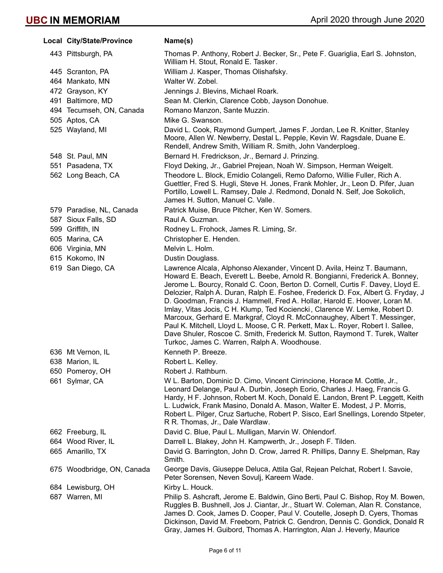| Local City/State/Province  | Name(s)                                                                                                                                                                                                                                                                                                                                                                                                                                                                                                                                                                                                                                                                                                                                                                                    |
|----------------------------|--------------------------------------------------------------------------------------------------------------------------------------------------------------------------------------------------------------------------------------------------------------------------------------------------------------------------------------------------------------------------------------------------------------------------------------------------------------------------------------------------------------------------------------------------------------------------------------------------------------------------------------------------------------------------------------------------------------------------------------------------------------------------------------------|
| 443 Pittsburgh, PA         | Thomas P. Anthony, Robert J. Becker, Sr., Pete F. Guariglia, Earl S. Johnston,<br>William H. Stout, Ronald E. Tasker.                                                                                                                                                                                                                                                                                                                                                                                                                                                                                                                                                                                                                                                                      |
| 445 Scranton, PA           | William J. Kasper, Thomas Olishafsky.                                                                                                                                                                                                                                                                                                                                                                                                                                                                                                                                                                                                                                                                                                                                                      |
| 464 Mankato, MN            | Walter W. Zobel.                                                                                                                                                                                                                                                                                                                                                                                                                                                                                                                                                                                                                                                                                                                                                                           |
| 472 Grayson, KY            | Jennings J. Blevins, Michael Roark.                                                                                                                                                                                                                                                                                                                                                                                                                                                                                                                                                                                                                                                                                                                                                        |
| 491 Baltimore, MD          | Sean M. Clerkin, Clarence Cobb, Jayson Donohue.                                                                                                                                                                                                                                                                                                                                                                                                                                                                                                                                                                                                                                                                                                                                            |
| 494 Tecumseh, ON, Canada   | Romano Manzon, Sante Muzzin.                                                                                                                                                                                                                                                                                                                                                                                                                                                                                                                                                                                                                                                                                                                                                               |
| 505 Aptos, CA              | Mike G. Swanson.                                                                                                                                                                                                                                                                                                                                                                                                                                                                                                                                                                                                                                                                                                                                                                           |
| 525 Wayland, MI            | David L. Cook, Raymond Gumpert, James F. Jordan, Lee R. Knitter, Stanley<br>Moore, Allen W. Newberry, Destal L. Pepple, Kevin W. Ragsdale, Duane E.<br>Rendell, Andrew Smith, William R. Smith, John Vanderploeg.                                                                                                                                                                                                                                                                                                                                                                                                                                                                                                                                                                          |
| 548 St. Paul, MN           | Bernard H. Fredrickson, Jr., Bernard J. Prinzing.                                                                                                                                                                                                                                                                                                                                                                                                                                                                                                                                                                                                                                                                                                                                          |
| 551 Pasadena, TX           | Floyd Deking, Jr., Gabriel Prejean, Noah W. Simpson, Herman Weigelt.                                                                                                                                                                                                                                                                                                                                                                                                                                                                                                                                                                                                                                                                                                                       |
| 562 Long Beach, CA         | Theodore L. Block, Emidio Colangeli, Remo Daforno, Willie Fuller, Rich A.<br>Guettler, Fred S. Hugli, Steve H. Jones, Frank Mohler, Jr., Leon D. Pifer, Juan<br>Portillo, Lowell L. Ramsey, Dale J. Redmond, Donald N. Self, Joe Sokolich,<br>James H. Sutton, Manuel C. Valle.                                                                                                                                                                                                                                                                                                                                                                                                                                                                                                            |
| 579 Paradise, NL, Canada   | Patrick Muise, Bruce Pitcher, Ken W. Somers.                                                                                                                                                                                                                                                                                                                                                                                                                                                                                                                                                                                                                                                                                                                                               |
| 587 Sioux Falls, SD        | Raul A. Guzman.                                                                                                                                                                                                                                                                                                                                                                                                                                                                                                                                                                                                                                                                                                                                                                            |
| 599 Griffith, IN           | Rodney L. Frohock, James R. Liming, Sr.                                                                                                                                                                                                                                                                                                                                                                                                                                                                                                                                                                                                                                                                                                                                                    |
| 605 Marina, CA             | Christopher E. Henden.                                                                                                                                                                                                                                                                                                                                                                                                                                                                                                                                                                                                                                                                                                                                                                     |
| 606 Virginia, MN           | Melvin L. Holm.                                                                                                                                                                                                                                                                                                                                                                                                                                                                                                                                                                                                                                                                                                                                                                            |
| 615 Kokomo, IN             | Dustin Douglass.                                                                                                                                                                                                                                                                                                                                                                                                                                                                                                                                                                                                                                                                                                                                                                           |
| 619 San Diego, CA          | Lawrence Alcala, Alphonso Alexander, Vincent D. Avila, Heinz T. Baumann,<br>Howard E. Beach, Everett L. Beebe, Arnold R. Bongianni, Frederick A. Bonney,<br>Jerome L. Bourcy, Ronald C. Coon, Berton D. Cornell, Curtis F. Davey, Lloyd E.<br>Delozier, Ralph A. Duran, Ralph E. Foshee, Frederick D. Fox, Albert G. Fryday, J<br>D. Goodman, Francis J. Hammell, Fred A. Hollar, Harold E. Hoover, Loran M.<br>Imlay, Vitas Jocis, C H. Klump, Ted Kociencki, Clarence W. Lemke, Robert D.<br>Marcoux, Gerhard E. Markgraf, Cloyd R. McConnaughey, Albert T. Messinger,<br>Paul K. Mitchell, Lloyd L. Moose, C R. Perkett, Max L. Royer, Robert I. Sallee,<br>Dave Shuler, Roscoe C. Smith, Frederick M. Sutton, Raymond T. Turek, Walter<br>Turkoc, James C. Warren, Ralph A. Woodhouse. |
| 636 Mt Vernon, IL          | Kenneth P. Breeze.                                                                                                                                                                                                                                                                                                                                                                                                                                                                                                                                                                                                                                                                                                                                                                         |
| 638 Marion, IL             | Robert L. Kelley.                                                                                                                                                                                                                                                                                                                                                                                                                                                                                                                                                                                                                                                                                                                                                                          |
| 650 Pomeroy, OH            | Robert J. Rathburn.                                                                                                                                                                                                                                                                                                                                                                                                                                                                                                                                                                                                                                                                                                                                                                        |
| 661 Sylmar, CA             | W L. Barton, Dominic D. Cimo, Vincent Cirrincione, Horace M. Cottle, Jr.,<br>Leonard Delange, Paul A. Durbin, Joseph Eorio, Charles J. Haeg, Francis G.<br>Hardy, H F. Johnson, Robert M. Koch, Donald E. Landon, Brent P. Leggett, Keith<br>L. Ludwick, Frank Masino, Donald A. Mason, Walter E. Modest, J P. Morris,<br>Robert L. Pilger, Cruz Sartuche, Robert P. Sisco, Earl Snellings, Lorendo Stpeter,<br>R R. Thomas, Jr., Dale Wardlaw.                                                                                                                                                                                                                                                                                                                                            |
| 662 Freeburg, IL           | David C. Blue, Paul L. Mulligan, Marvin W. Ohlendorf.                                                                                                                                                                                                                                                                                                                                                                                                                                                                                                                                                                                                                                                                                                                                      |
| 664 Wood River, IL         | Darrell L. Blakey, John H. Kampwerth, Jr., Joseph F. Tilden.                                                                                                                                                                                                                                                                                                                                                                                                                                                                                                                                                                                                                                                                                                                               |
| 665 Amarillo, TX           | David G. Barrington, John D. Crow, Jarred R. Phillips, Danny E. Shelpman, Ray<br>Smith.                                                                                                                                                                                                                                                                                                                                                                                                                                                                                                                                                                                                                                                                                                    |
| 675 Woodbridge, ON, Canada | George Davis, Giuseppe Deluca, Attila Gal, Rejean Pelchat, Robert I. Savoie,<br>Peter Sorensen, Neven Sovulj, Kareem Wade.                                                                                                                                                                                                                                                                                                                                                                                                                                                                                                                                                                                                                                                                 |
| 684 Lewisburg, OH          | Kirby L. Houck.                                                                                                                                                                                                                                                                                                                                                                                                                                                                                                                                                                                                                                                                                                                                                                            |
| 687 Warren, MI             | Philip S. Ashcraft, Jerome E. Baldwin, Gino Berti, Paul C. Bishop, Roy M. Bowen,<br>Ruggles B. Bushnell, Jos J. Ciantar, Jr., Stuart W. Coleman, Alan R. Constance,<br>James D. Cook, James D. Cooper, Paul V. Coutelle, Joseph D. Cyers, Thomas<br>Dickinson, David M. Freeborn, Patrick C. Gendron, Dennis C. Gondick, Donald R.<br>Gray, James H. Guibord, Thomas A. Harrington, Alan J. Heverly, Maurice                                                                                                                                                                                                                                                                                                                                                                               |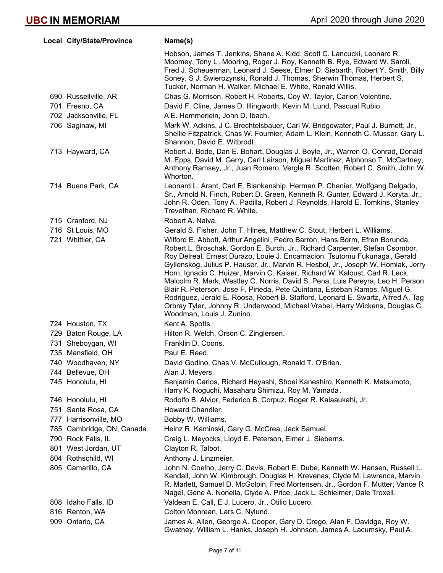| Local City/State/Province | Name(s)                                                                                                                                                                                                                                                                                                                                                                                                                                                                                                                                                                                                                                                                                                                                                                         |
|---------------------------|---------------------------------------------------------------------------------------------------------------------------------------------------------------------------------------------------------------------------------------------------------------------------------------------------------------------------------------------------------------------------------------------------------------------------------------------------------------------------------------------------------------------------------------------------------------------------------------------------------------------------------------------------------------------------------------------------------------------------------------------------------------------------------|
|                           | Hobson, James T. Jenkins, Shane A. Kidd, Scott C. Lancucki, Leonard R.<br>Moomey, Tony L. Mooring, Roger J. Roy, Kenneth B. Rye, Edward W. Saroli,<br>Fred J. Scheuerman, Leonard J. Seese, Elmer D. Siebarth, Robert Y. Smith, Billy<br>Soney, S J. Swierozynski, Ronald J. Thomas, Sherwin Thomas, Herbert S.<br>Tucker, Norman H. Walker, Michael E. White, Ronald Willis.                                                                                                                                                                                                                                                                                                                                                                                                   |
| 690 Russellville, AR      | Chas G. Morrison, Robert H. Roberts, Coy W. Taylor, Carlon Volentine.                                                                                                                                                                                                                                                                                                                                                                                                                                                                                                                                                                                                                                                                                                           |
| 701 Fresno, CA            | David F. Cline, James D. Illingworth, Kevin M. Lund, Pascual Rubio.                                                                                                                                                                                                                                                                                                                                                                                                                                                                                                                                                                                                                                                                                                             |
| 702 Jacksonville, FL      | A E. Hemmerlein, John D. Ibach.                                                                                                                                                                                                                                                                                                                                                                                                                                                                                                                                                                                                                                                                                                                                                 |
| 706 Saginaw, MI           | Mark W. Adkins, J C. Brechtelsbauer, Carl W. Bridgewater, Paul J. Burnett, Jr.,<br>Shellie Fitzpatrick, Chas W. Fournier, Adam L. Klein, Kenneth C. Musser, Gary L.<br>Shannon, David E. Witbrodt.                                                                                                                                                                                                                                                                                                                                                                                                                                                                                                                                                                              |
| 713 Hayward, CA           | Robert J. Bode, Dan E. Bohart, Douglas J. Boyle, Jr., Warren O. Conrad, Donald<br>M. Epps, David M. Gerry, Carl Lairson, Miguel Martinez, Alphonso T. McCartney,<br>Anthony Ramsey, Jr., Juan Romero, Vergle R. Scotten, Robert C. Smith, John W.<br>Whorton.                                                                                                                                                                                                                                                                                                                                                                                                                                                                                                                   |
| 714 Buena Park, CA        | Leonard L. Arant, Carl E. Blankenship, Herman P. Chenier, Wolfgang Delgado,<br>Sr., Arnold N. Finch, Robert D. Green, Kenneth R. Gunter, Edward J. Koryta, Jr.,<br>John R. Oden, Tony A. Padilla, Robert J. Reynolds, Harold E. Tomkins, Stanley<br>Trevethan, Richard R. White.                                                                                                                                                                                                                                                                                                                                                                                                                                                                                                |
| 715 Cranford, NJ          | Robert A. Naiva.                                                                                                                                                                                                                                                                                                                                                                                                                                                                                                                                                                                                                                                                                                                                                                |
| 716 St Louis, MO          | Gerald S. Fisher, John T. Hines, Matthew C. Stout, Herbert L. Williams.                                                                                                                                                                                                                                                                                                                                                                                                                                                                                                                                                                                                                                                                                                         |
| 721 Whittier, CA          | Wilford E. Abbott, Arthur Angelini, Pedro Barron, Hans Borm, Efren Borunda,<br>Robert L. Broschak, Gordon E. Burch, Jr., Richard Carpenter, Stefan Csombor,<br>Roy Delreal, Ernest Durazo, Louie J. Encarnacion, Tsutomu Fukunaga, Gerald<br>Gyllenskog, Julius P. Hauser, Jr., Marvin R. Hesbol, Jr., Joseph W. Homlak, Jerry<br>Horn, Ignacio C. Huizer, Marvin C. Kaiser, Richard W. Kaloust, Carl R. Leck,<br>Malcolm R. Mark, Westley C. Norris, David S. Pena, Luis Pereyra, Leo H. Person<br>Blair R. Peterson, Jose F. Pineda, Pete Quintana, Esteban Ramos, Miguel G.<br>Rodriguez, Jerald E. Roosa, Robert B. Stafford, Leonard E. Swartz, Alfred A. Tag<br>Orbray Tyler, Johnny R. Underwood, Michael Vrabel, Harry Wickens, Douglas C.<br>Woodman, Louis J. Zunino. |
| 724 Houston, TX           | Kent A. Spotts.                                                                                                                                                                                                                                                                                                                                                                                                                                                                                                                                                                                                                                                                                                                                                                 |
| 729 Baton Rouge, LA       | Hilton R. Welch, Orson C. Zinglersen.                                                                                                                                                                                                                                                                                                                                                                                                                                                                                                                                                                                                                                                                                                                                           |
| 731 Sheboygan, WI         | Franklin D. Coons.                                                                                                                                                                                                                                                                                                                                                                                                                                                                                                                                                                                                                                                                                                                                                              |
| 735 Mansfield, OH         | Paul E. Reed.                                                                                                                                                                                                                                                                                                                                                                                                                                                                                                                                                                                                                                                                                                                                                                   |
| 740 Woodhaven, NY         | David Godino, Chas V. McCullough, Ronald T. O'Brien.                                                                                                                                                                                                                                                                                                                                                                                                                                                                                                                                                                                                                                                                                                                            |
| 744 Bellevue, OH          | Alan J. Meyers.                                                                                                                                                                                                                                                                                                                                                                                                                                                                                                                                                                                                                                                                                                                                                                 |
| 745 Honolulu, HI          | Benjamin Carlos, Richard Hayashi, Shoei Kaneshiro, Kenneth K. Matsumoto,<br>Harry K. Noguchi, Masaharu Shimizu, Roy M. Yamada.                                                                                                                                                                                                                                                                                                                                                                                                                                                                                                                                                                                                                                                  |
| 746 Honolulu, HI          | Rodolfo B. Alvior, Federico B. Corpuz, Roger R. Kalaaukahi, Jr.                                                                                                                                                                                                                                                                                                                                                                                                                                                                                                                                                                                                                                                                                                                 |
| 751 Santa Rosa, CA        | Howard Chandler.                                                                                                                                                                                                                                                                                                                                                                                                                                                                                                                                                                                                                                                                                                                                                                |
| 777 Harrisonville, MO     | Bobby W. Williams.                                                                                                                                                                                                                                                                                                                                                                                                                                                                                                                                                                                                                                                                                                                                                              |
| 785 Cambridge, ON, Canada | Heinz R. Kaminski, Gary G. McCrea, Jack Samuel.                                                                                                                                                                                                                                                                                                                                                                                                                                                                                                                                                                                                                                                                                                                                 |
| 790 Rock Falls, IL        | Craig L. Meyocks, Lloyd E. Peterson, Elmer J. Sieberns.                                                                                                                                                                                                                                                                                                                                                                                                                                                                                                                                                                                                                                                                                                                         |
| 801 West Jordan, UT       | Clayton R. Talbot.                                                                                                                                                                                                                                                                                                                                                                                                                                                                                                                                                                                                                                                                                                                                                              |
| 804 Rothschild, WI        | Anthony J. Linzmeier.                                                                                                                                                                                                                                                                                                                                                                                                                                                                                                                                                                                                                                                                                                                                                           |
| 805 Camarillo, CA         | John N. Coelho, Jerry C. Davis, Robert E. Dube, Kenneth W. Hansen, Russell L.<br>Kendall, John W. Kimbrough, Douglas H. Krevenas, Clyde M. Lawrence, Marvin<br>R. Marlett, Samuel D. McGolpin, Fred Mortensen, Jr., Gordon F. Mutter, Vance R<br>Nagel, Gene A. Nonella, Clyde A. Price, Jack L. Schleimer, Dale Troxell.                                                                                                                                                                                                                                                                                                                                                                                                                                                       |
| 808 Idaho Falls, ID       | Valdean E. Call, E J. Lucero, Jr., Otilio Lucero.                                                                                                                                                                                                                                                                                                                                                                                                                                                                                                                                                                                                                                                                                                                               |
| 816 Renton, WA            | Colton Monrean, Lars C. Nylund.                                                                                                                                                                                                                                                                                                                                                                                                                                                                                                                                                                                                                                                                                                                                                 |
| 909 Ontario, CA           | James A. Allen, George A. Cooper, Gary D. Crego, Alan F. Davidge, Roy W.<br>Gwatney, William L. Hanks, Joseph H. Johnson, James A. Lacumsky, Paul A.                                                                                                                                                                                                                                                                                                                                                                                                                                                                                                                                                                                                                            |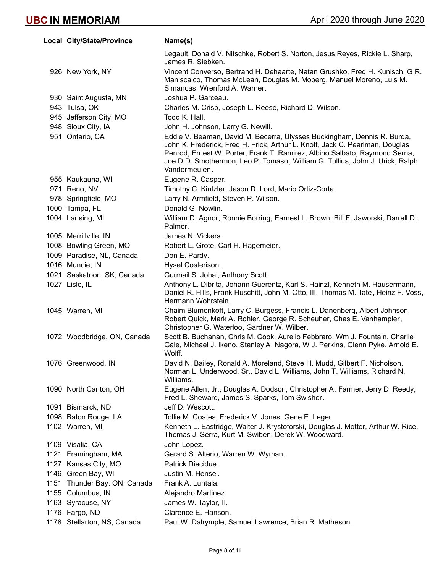| Local City/State/Province    | Name(s)                                                                                                                                                                                                                                                                                                                                |
|------------------------------|----------------------------------------------------------------------------------------------------------------------------------------------------------------------------------------------------------------------------------------------------------------------------------------------------------------------------------------|
|                              | Legault, Donald V. Nitschke, Robert S. Norton, Jesus Reyes, Rickie L. Sharp,<br>James R. Siebken.                                                                                                                                                                                                                                      |
| 926 New York, NY             | Vincent Converso, Bertrand H. Dehaarte, Natan Grushko, Fred H. Kunisch, G R.<br>Maniscalco, Thomas McLean, Douglas M. Moberg, Manuel Moreno, Luis M.<br>Simancas, Wrenford A. Warner.                                                                                                                                                  |
| 930 Saint Augusta, MN        | Joshua P. Garceau.                                                                                                                                                                                                                                                                                                                     |
| 943 Tulsa, OK                | Charles M. Crisp, Joseph L. Reese, Richard D. Wilson.                                                                                                                                                                                                                                                                                  |
| 945 Jefferson City, MO       | Todd K. Hall.                                                                                                                                                                                                                                                                                                                          |
| 948 Sioux City, IA           | John H. Johnson, Larry G. Newill.                                                                                                                                                                                                                                                                                                      |
| 951 Ontario, CA              | Eddie V. Beaman, David M. Becerra, Ulysses Buckingham, Dennis R. Burda,<br>John K. Frederick, Fred H. Frick, Arthur L. Knott, Jack C. Pearlman, Douglas<br>Penrod, Ernest W. Porter, Frank T. Ramirez, Albino Salbato, Raymond Serna,<br>Joe D D. Smothermon, Leo P. Tomaso, William G. Tullius, John J. Urick, Ralph<br>Vandermeulen. |
| 955 Kaukauna, WI             | Eugene R. Casper.                                                                                                                                                                                                                                                                                                                      |
| 971 Reno, NV                 | Timothy C. Kintzler, Jason D. Lord, Mario Ortiz-Corta.                                                                                                                                                                                                                                                                                 |
| 978 Springfield, MO          | Larry N. Armfield, Steven P. Wilson.                                                                                                                                                                                                                                                                                                   |
| 1000 Tampa, FL               | Donald G. Nowlin.                                                                                                                                                                                                                                                                                                                      |
| 1004 Lansing, MI             | William D. Agnor, Ronnie Borring, Earnest L. Brown, Bill F. Jaworski, Darrell D.<br>Palmer.                                                                                                                                                                                                                                            |
| 1005 Merrillville, IN        | James N. Vickers.                                                                                                                                                                                                                                                                                                                      |
| 1008 Bowling Green, MO       | Robert L. Grote, Carl H. Hagemeier.                                                                                                                                                                                                                                                                                                    |
| 1009 Paradise, NL, Canada    | Don E. Pardy.                                                                                                                                                                                                                                                                                                                          |
| 1016 Muncie, IN              | Hysel Costerison.                                                                                                                                                                                                                                                                                                                      |
| 1021 Saskatoon, SK, Canada   | Gurmail S. Johal, Anthony Scott.                                                                                                                                                                                                                                                                                                       |
| 1027 Lisle, IL               | Anthony L. Dibrita, Johann Guerentz, Karl S. Hainzl, Kenneth M. Hausermann,<br>Daniel R. Hills, Frank Huschitt, John M. Otto, III, Thomas M. Tate, Heinz F. Voss,<br>Hermann Wohrstein.                                                                                                                                                |
| 1045 Warren, MI              | Chaim Blumenkoft, Larry C. Burgess, Francis L. Danenberg, Albert Johnson,<br>Robert Quick, Mark A. Rohler, George R. Scheuher, Chas E. Vanhampler,<br>Christopher G. Waterloo, Gardner W. Wilber.                                                                                                                                      |
| 1072 Woodbridge, ON, Canada  | Scott B. Buchanan, Chris M. Cook, Aurelio Febbraro, Wm J. Fountain, Charlie<br>Gale, Michael J. Ikeno, Stanley A. Nagora, W J. Perkins, Glenn Pyke, Arnold E.<br>Wolff.                                                                                                                                                                |
| 1076 Greenwood, IN           | David N. Bailey, Ronald A. Moreland, Steve H. Mudd, Gilbert F. Nicholson,<br>Norman L. Underwood, Sr., David L. Williams, John T. Williams, Richard N.<br>Williams.                                                                                                                                                                    |
| 1090 North Canton, OH        | Eugene Allen, Jr., Douglas A. Dodson, Christopher A. Farmer, Jerry D. Reedy,<br>Fred L. Sheward, James S. Sparks, Tom Swisher.                                                                                                                                                                                                         |
| 1091 Bismarck, ND            | Jeff D. Wescott.                                                                                                                                                                                                                                                                                                                       |
| 1098 Baton Rouge, LA         | Tollie M. Coates, Frederick V. Jones, Gene E. Leger.                                                                                                                                                                                                                                                                                   |
| 1102 Warren, MI              | Kenneth L. Eastridge, Walter J. Krystoforski, Douglas J. Motter, Arthur W. Rice,<br>Thomas J. Serra, Kurt M. Swiben, Derek W. Woodward.                                                                                                                                                                                                |
| 1109 Visalia, CA             | John Lopez.                                                                                                                                                                                                                                                                                                                            |
| 1121 Framingham, MA          | Gerard S. Alterio, Warren W. Wyman.                                                                                                                                                                                                                                                                                                    |
| 1127 Kansas City, MO         | Patrick Diecidue.                                                                                                                                                                                                                                                                                                                      |
| 1146 Green Bay, WI           | Justin M. Hensel.                                                                                                                                                                                                                                                                                                                      |
| 1151 Thunder Bay, ON, Canada | Frank A. Luhtala.                                                                                                                                                                                                                                                                                                                      |
| 1155 Columbus, IN            | Alejandro Martinez.                                                                                                                                                                                                                                                                                                                    |
| 1163 Syracuse, NY            | James W. Taylor, II.                                                                                                                                                                                                                                                                                                                   |
| 1176 Fargo, ND               | Clarence E. Hanson.                                                                                                                                                                                                                                                                                                                    |
| 1178 Stellarton, NS, Canada  | Paul W. Dalrymple, Samuel Lawrence, Brian R. Matheson.                                                                                                                                                                                                                                                                                 |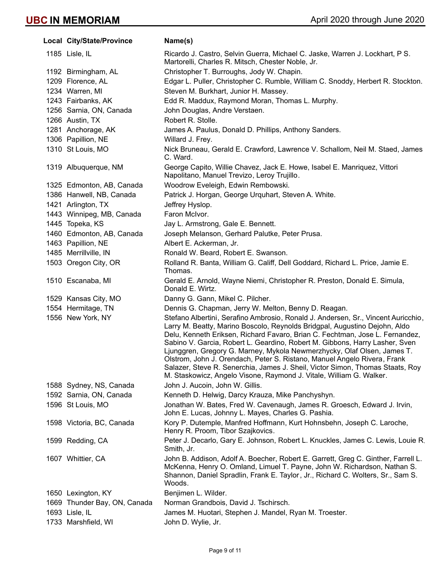| Local City/State/Province    | Name(s)                                                                                                                                                                                                                                                                                                                                                                                                                                                                                                                                                                                                                                       |
|------------------------------|-----------------------------------------------------------------------------------------------------------------------------------------------------------------------------------------------------------------------------------------------------------------------------------------------------------------------------------------------------------------------------------------------------------------------------------------------------------------------------------------------------------------------------------------------------------------------------------------------------------------------------------------------|
| 1185 Lisle, IL               | Ricardo J. Castro, Selvin Guerra, Michael C. Jaske, Warren J. Lockhart, P S.<br>Martorelli, Charles R. Mitsch, Chester Noble, Jr.                                                                                                                                                                                                                                                                                                                                                                                                                                                                                                             |
| 1192 Birmingham, AL          | Christopher T. Burroughs, Jody W. Chapin.                                                                                                                                                                                                                                                                                                                                                                                                                                                                                                                                                                                                     |
| 1209 Florence, AL            | Edgar L. Puller, Christopher C. Rumble, William C. Snoddy, Herbert R. Stockton.                                                                                                                                                                                                                                                                                                                                                                                                                                                                                                                                                               |
| 1234 Warren, MI              | Steven M. Burkhart, Junior H. Massey.                                                                                                                                                                                                                                                                                                                                                                                                                                                                                                                                                                                                         |
| 1243 Fairbanks, AK           | Edd R. Maddux, Raymond Moran, Thomas L. Murphy.                                                                                                                                                                                                                                                                                                                                                                                                                                                                                                                                                                                               |
| 1256 Sarnia, ON, Canada      | John Douglas, Andre Verstaen.                                                                                                                                                                                                                                                                                                                                                                                                                                                                                                                                                                                                                 |
| 1266 Austin, TX              | Robert R. Stolle.                                                                                                                                                                                                                                                                                                                                                                                                                                                                                                                                                                                                                             |
| 1281 Anchorage, AK           | James A. Paulus, Donald D. Phillips, Anthony Sanders.                                                                                                                                                                                                                                                                                                                                                                                                                                                                                                                                                                                         |
| 1306 Papillion, NE           | Willard J. Frey.                                                                                                                                                                                                                                                                                                                                                                                                                                                                                                                                                                                                                              |
| 1310 St Louis, MO            | Nick Bruneau, Gerald E. Crawford, Lawrence V. Schallom, Neil M. Staed, James<br>C. Ward.                                                                                                                                                                                                                                                                                                                                                                                                                                                                                                                                                      |
| 1319 Albuquerque, NM         | George Capito, Willie Chavez, Jack E. Howe, Isabel E. Manriquez, Vittori<br>Napolitano, Manuel Trevizo, Leroy Trujillo.                                                                                                                                                                                                                                                                                                                                                                                                                                                                                                                       |
| 1325 Edmonton, AB, Canada    | Woodrow Eveleigh, Edwin Rembowski.                                                                                                                                                                                                                                                                                                                                                                                                                                                                                                                                                                                                            |
| 1386 Hanwell, NB, Canada     | Patrick J. Horgan, George Urquhart, Steven A. White.                                                                                                                                                                                                                                                                                                                                                                                                                                                                                                                                                                                          |
| 1421 Arlington, TX           | Jeffrey Hyslop.                                                                                                                                                                                                                                                                                                                                                                                                                                                                                                                                                                                                                               |
| 1443 Winnipeg, MB, Canada    | Faron McIvor.                                                                                                                                                                                                                                                                                                                                                                                                                                                                                                                                                                                                                                 |
| 1445 Topeka, KS              | Jay L. Armstrong, Gale E. Bennett.                                                                                                                                                                                                                                                                                                                                                                                                                                                                                                                                                                                                            |
| 1460 Edmonton, AB, Canada    | Joseph Melanson, Gerhard Palutke, Peter Prusa.                                                                                                                                                                                                                                                                                                                                                                                                                                                                                                                                                                                                |
| 1463 Papillion, NE           | Albert E. Ackerman, Jr.                                                                                                                                                                                                                                                                                                                                                                                                                                                                                                                                                                                                                       |
| 1485 Merrillville, IN        | Ronald W. Beard, Robert E. Swanson.                                                                                                                                                                                                                                                                                                                                                                                                                                                                                                                                                                                                           |
| 1503 Oregon City, OR         | Rolland R. Banta, William G. Califf, Dell Goddard, Richard L. Price, Jamie E.<br>Thomas.                                                                                                                                                                                                                                                                                                                                                                                                                                                                                                                                                      |
| 1510 Escanaba, MI            | Gerald E. Arnold, Wayne Niemi, Christopher R. Preston, Donald E. Simula,<br>Donald E. Wirtz.                                                                                                                                                                                                                                                                                                                                                                                                                                                                                                                                                  |
| 1529 Kansas City, MO         | Danny G. Gann, Mikel C. Pilcher.                                                                                                                                                                                                                                                                                                                                                                                                                                                                                                                                                                                                              |
| 1554 Hermitage, TN           | Dennis G. Chapman, Jerry W. Melton, Benny D. Reagan.                                                                                                                                                                                                                                                                                                                                                                                                                                                                                                                                                                                          |
| 1556 New York, NY            | Stefano Albertini, Serafino Ambrosio, Ronald J. Andersen, Sr., Vincent Auricchio,<br>Larry M. Beatty, Marino Boscolo, Reynolds Bridgpal, Augustino Dejohn, Aldo<br>Delu, Kenneth Eriksen, Richard Favaro, Brian C. Fechtman, Jose L. Fernandez,<br>Sabino V. Garcia, Robert L. Geardino, Robert M. Gibbons, Harry Lasher, Sven<br>Ljunggren, Gregory G. Marney, Mykola Newmerzhycky, Olaf Olsen, James T.<br>Olstrom, John J. Orendach, Peter S. Ristano, Manuel Angelo Rivera, Frank<br>Salazer, Steve R. Senerchia, James J. Sheil, Victor Simon, Thomas Staats, Roy<br>M. Staskowicz, Angelo Visone, Raymond J. Vitale, William G. Walker. |
| 1588 Sydney, NS, Canada      | John J. Aucoin, John W. Gillis.                                                                                                                                                                                                                                                                                                                                                                                                                                                                                                                                                                                                               |
| 1592 Sarnia, ON, Canada      | Kenneth D. Helwig, Darcy Krauza, Mike Panchyshyn.                                                                                                                                                                                                                                                                                                                                                                                                                                                                                                                                                                                             |
| 1596 St Louis, MO            | Jonathan W. Bates, Fred W. Cavenaugh, James R. Groesch, Edward J. Irvin,<br>John E. Lucas, Johnny L. Mayes, Charles G. Pashia.                                                                                                                                                                                                                                                                                                                                                                                                                                                                                                                |
| 1598 Victoria, BC, Canada    | Kory P. Dutemple, Manfred Hoffmann, Kurt Hohnsbehn, Joseph C. Laroche,<br>Henry R. Proom, Tibor Szajkovics.                                                                                                                                                                                                                                                                                                                                                                                                                                                                                                                                   |
| 1599 Redding, CA             | Peter J. Decarlo, Gary E. Johnson, Robert L. Knuckles, James C. Lewis, Louie R.<br>Smith, Jr.                                                                                                                                                                                                                                                                                                                                                                                                                                                                                                                                                 |
| 1607 Whittier, CA            | John B. Addison, Adolf A. Boecher, Robert E. Garrett, Greg C. Ginther, Farrell L.<br>McKenna, Henry O. Omland, Limuel T. Payne, John W. Richardson, Nathan S.<br>Shannon, Daniel Spradlin, Frank E. Taylor, Jr., Richard C. Wolters, Sr., Sam S.<br>Woods.                                                                                                                                                                                                                                                                                                                                                                                    |
| 1650 Lexington, KY           | Benjimen L. Wilder.                                                                                                                                                                                                                                                                                                                                                                                                                                                                                                                                                                                                                           |
| 1669 Thunder Bay, ON, Canada | Norman Grandbois, David J. Tschirsch.                                                                                                                                                                                                                                                                                                                                                                                                                                                                                                                                                                                                         |
| 1693 Lisle, IL               | James M. Huotari, Stephen J. Mandel, Ryan M. Troester.                                                                                                                                                                                                                                                                                                                                                                                                                                                                                                                                                                                        |
| 1733 Marshfield, WI          | John D. Wylie, Jr.                                                                                                                                                                                                                                                                                                                                                                                                                                                                                                                                                                                                                            |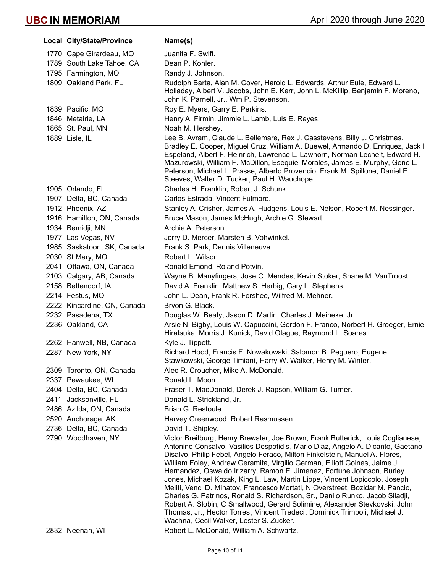|      | Local City/State/Province   | Name(s)                                                                                                                                                                                                                                                                                                                                                                                                                                                                                                                                                                                                                                                                                                                                                                                                                                                       |
|------|-----------------------------|---------------------------------------------------------------------------------------------------------------------------------------------------------------------------------------------------------------------------------------------------------------------------------------------------------------------------------------------------------------------------------------------------------------------------------------------------------------------------------------------------------------------------------------------------------------------------------------------------------------------------------------------------------------------------------------------------------------------------------------------------------------------------------------------------------------------------------------------------------------|
|      | 1770 Cape Girardeau, MO     | Juanita F. Swift.                                                                                                                                                                                                                                                                                                                                                                                                                                                                                                                                                                                                                                                                                                                                                                                                                                             |
|      | 1789 South Lake Tahoe, CA   | Dean P. Kohler.                                                                                                                                                                                                                                                                                                                                                                                                                                                                                                                                                                                                                                                                                                                                                                                                                                               |
|      | 1795 Farmington, MO         | Randy J. Johnson.                                                                                                                                                                                                                                                                                                                                                                                                                                                                                                                                                                                                                                                                                                                                                                                                                                             |
|      | 1809 Oakland Park, FL       | Rudolph Barta, Alan M. Cover, Harold L. Edwards, Arthur Eule, Edward L.<br>Holladay, Albert V. Jacobs, John E. Kerr, John L. McKillip, Benjamin F. Moreno,<br>John K. Parnell, Jr., Wm P. Stevenson.                                                                                                                                                                                                                                                                                                                                                                                                                                                                                                                                                                                                                                                          |
|      | 1839 Pacific, MO            | Roy E. Myers, Garry E. Perkins.                                                                                                                                                                                                                                                                                                                                                                                                                                                                                                                                                                                                                                                                                                                                                                                                                               |
|      | 1846 Metairie, LA           | Henry A. Firmin, Jimmie L. Lamb, Luis E. Reyes.                                                                                                                                                                                                                                                                                                                                                                                                                                                                                                                                                                                                                                                                                                                                                                                                               |
|      | 1865 St. Paul, MN           | Noah M. Hershey.                                                                                                                                                                                                                                                                                                                                                                                                                                                                                                                                                                                                                                                                                                                                                                                                                                              |
|      | 1889 Lisle, IL              | Lee B. Avram, Claude L. Bellemare, Rex J. Casstevens, Billy J. Christmas,<br>Bradley E. Cooper, Miguel Cruz, William A. Duewel, Armando D. Enriquez, Jack I<br>Espeland, Albert F. Heinrich, Lawrence L. Lawhorn, Norman Lechelt, Edward H.<br>Mazurowski, William F. McDillon, Esequiel Morales, James E. Murphy, Gene L.<br>Peterson, Michael L. Prasse, Alberto Provencio, Frank M. Spillone, Daniel E.<br>Steeves, Walter D. Tucker, Paul H. Wauchope.                                                                                                                                                                                                                                                                                                                                                                                                    |
|      | 1905 Orlando, FL            | Charles H. Franklin, Robert J. Schunk.                                                                                                                                                                                                                                                                                                                                                                                                                                                                                                                                                                                                                                                                                                                                                                                                                        |
|      | 1907 Delta, BC, Canada      | Carlos Estrada, Vincent Fulmore.                                                                                                                                                                                                                                                                                                                                                                                                                                                                                                                                                                                                                                                                                                                                                                                                                              |
|      | 1912 Phoenix, AZ            | Stanley A. Crisher, James A. Hudgens, Louis E. Nelson, Robert M. Nessinger.                                                                                                                                                                                                                                                                                                                                                                                                                                                                                                                                                                                                                                                                                                                                                                                   |
|      | 1916 Hamilton, ON, Canada   | Bruce Mason, James McHugh, Archie G. Stewart.                                                                                                                                                                                                                                                                                                                                                                                                                                                                                                                                                                                                                                                                                                                                                                                                                 |
|      | 1934 Bemidji, MN            | Archie A. Peterson.                                                                                                                                                                                                                                                                                                                                                                                                                                                                                                                                                                                                                                                                                                                                                                                                                                           |
|      | 1977 Las Vegas, NV          | Jerry D. Mercer, Marsten B. Vohwinkel.                                                                                                                                                                                                                                                                                                                                                                                                                                                                                                                                                                                                                                                                                                                                                                                                                        |
|      | 1985 Saskatoon, SK, Canada  | Frank S. Park, Dennis Villeneuve.                                                                                                                                                                                                                                                                                                                                                                                                                                                                                                                                                                                                                                                                                                                                                                                                                             |
|      | 2030 St Mary, MO            | Robert L. Wilson.                                                                                                                                                                                                                                                                                                                                                                                                                                                                                                                                                                                                                                                                                                                                                                                                                                             |
|      | 2041 Ottawa, ON, Canada     | Ronald Emond, Roland Potvin.                                                                                                                                                                                                                                                                                                                                                                                                                                                                                                                                                                                                                                                                                                                                                                                                                                  |
|      | 2103 Calgary, AB, Canada    | Wayne B. Manyfingers, Jose C. Mendes, Kevin Stoker, Shane M. VanTroost.                                                                                                                                                                                                                                                                                                                                                                                                                                                                                                                                                                                                                                                                                                                                                                                       |
|      | 2158 Bettendorf, IA         | David A. Franklin, Matthew S. Herbig, Gary L. Stephens.                                                                                                                                                                                                                                                                                                                                                                                                                                                                                                                                                                                                                                                                                                                                                                                                       |
|      | 2214 Festus, MO             | John L. Dean, Frank R. Forshee, Wilfred M. Mehner.                                                                                                                                                                                                                                                                                                                                                                                                                                                                                                                                                                                                                                                                                                                                                                                                            |
|      | 2222 Kincardine, ON, Canada | Bryon G. Black.                                                                                                                                                                                                                                                                                                                                                                                                                                                                                                                                                                                                                                                                                                                                                                                                                                               |
|      | 2232 Pasadena, TX           | Douglas W. Beaty, Jason D. Martin, Charles J. Meineke, Jr.                                                                                                                                                                                                                                                                                                                                                                                                                                                                                                                                                                                                                                                                                                                                                                                                    |
|      | 2236 Oakland, CA            | Arsie N. Bigby, Louis W. Capuccini, Gordon F. Franco, Norbert H. Groeger, Ernie<br>Hiratsuka, Morris J. Kunick, David Olague, Raymond L. Soares.                                                                                                                                                                                                                                                                                                                                                                                                                                                                                                                                                                                                                                                                                                              |
|      | 2262 Hanwell, NB, Canada    | Kyle J. Tippett.                                                                                                                                                                                                                                                                                                                                                                                                                                                                                                                                                                                                                                                                                                                                                                                                                                              |
|      | 2287 New York, NY           | Richard Hood, Francis F. Nowakowski, Salomon B. Peguero, Eugene<br>Stawkowski, George Timiani, Harry W. Walker, Henry M. Winter.                                                                                                                                                                                                                                                                                                                                                                                                                                                                                                                                                                                                                                                                                                                              |
|      | 2309 Toronto, ON, Canada    | Alec R. Croucher, Mike A. McDonald.                                                                                                                                                                                                                                                                                                                                                                                                                                                                                                                                                                                                                                                                                                                                                                                                                           |
|      | 2337 Pewaukee, WI           | Ronald L. Moon.                                                                                                                                                                                                                                                                                                                                                                                                                                                                                                                                                                                                                                                                                                                                                                                                                                               |
|      | 2404 Delta, BC, Canada      | Fraser T. MacDonald, Derek J. Rapson, William G. Turner.                                                                                                                                                                                                                                                                                                                                                                                                                                                                                                                                                                                                                                                                                                                                                                                                      |
| 2411 | Jacksonville, FL            | Donald L. Strickland, Jr.                                                                                                                                                                                                                                                                                                                                                                                                                                                                                                                                                                                                                                                                                                                                                                                                                                     |
|      | 2486 Azilda, ON, Canada     | Brian G. Restoule.                                                                                                                                                                                                                                                                                                                                                                                                                                                                                                                                                                                                                                                                                                                                                                                                                                            |
|      | 2520 Anchorage, AK          | Harvey Greenwood, Robert Rasmussen.                                                                                                                                                                                                                                                                                                                                                                                                                                                                                                                                                                                                                                                                                                                                                                                                                           |
|      | 2736 Delta, BC, Canada      | David T. Shipley.                                                                                                                                                                                                                                                                                                                                                                                                                                                                                                                                                                                                                                                                                                                                                                                                                                             |
|      | 2790 Woodhaven, NY          | Victor Breitburg, Henry Brewster, Joe Brown, Frank Butterick, Louis Coglianese,<br>Antonino Consalvo, Vasilios Despotidis, Mario Diaz, Angelo A. Dicanto, Gaetano<br>Disalvo, Philip Febel, Angelo Feraco, Milton Finkelstein, Manuel A. Flores,<br>William Foley, Andrew Geramita, Virgilio German, Elliott Goines, Jaime J.<br>Hernandez, Oswaldo Irizarry, Ramon E. Jimenez, Fortune Johnson, Burley<br>Jones, Michael Kozak, King L. Law, Martin Lippe, Vincent Lopiccolo, Joseph<br>Meliti, Venci D. Mihatov, Francesco Mortati, N Overstreet, Bozidar M. Pancic,<br>Charles G. Patrinos, Ronald S. Richardson, Sr., Danilo Runko, Jacob Siladji,<br>Robert A. Slobin, C Smallwood, Gerard Solimine, Alexander Stevkovski, John<br>Thomas, Jr., Hector Torres, Vincent Tredeci, Dominick Trimboli, Michael J.<br>Wachna, Cecil Walker, Lester S. Zucker. |
|      | 2832 Neenah, WI             | Robert L. McDonald, William A. Schwartz.                                                                                                                                                                                                                                                                                                                                                                                                                                                                                                                                                                                                                                                                                                                                                                                                                      |